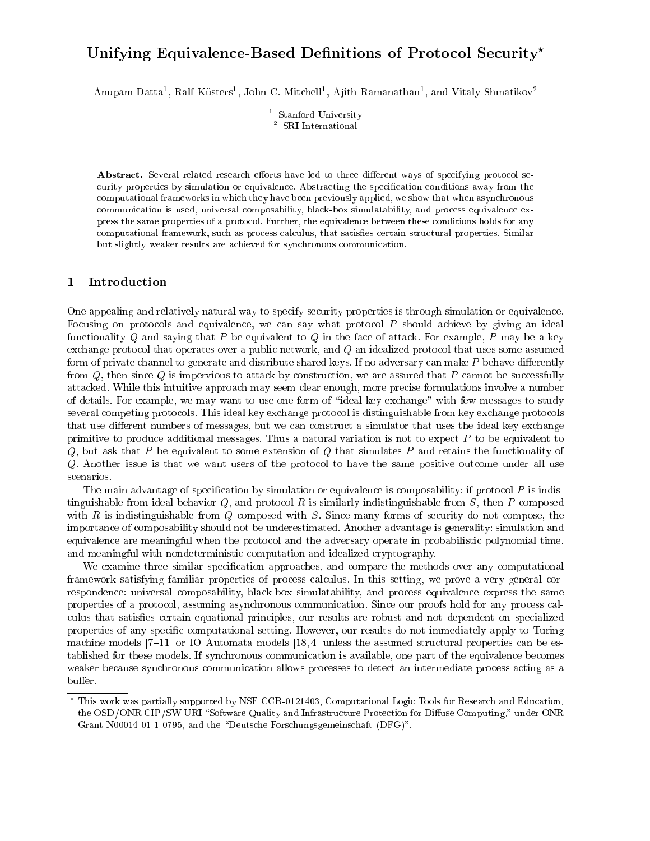# Unifying Equivalence-Dased Definitions of Protocol Security

Anupam Datta-, Kali Kusters-John C. Mitchell , Ajith Kamanathan-, and Vitaly Shmatikov

<sup>1</sup> Stanford University <sup>2</sup> SRI International

Abstract. Several related research efforts have led to three different ways of specifying protocol security properties by simulation or equivalence. Abstracting the specification conditions away from the computational frameworks in which they have been previously applied, we show that when asynchronous communication is used, universal composability, black-box simulatability, and process equivalence express the same properties of a proto
ol. Further, the equivalen
e between these onditions holds for any computational framework, such as process calculus, that satisfies certain structural properties. Similar but slightly weaker results are a
hieved for syn
hronous ommuni
ation.

## 1 Introdu
tion

One appealing and relatively natural way to specify security properties is through simulation or equivalence. Focusing on protocols and equivalence, we can say what protocol P should achieve by giving an ideal functionality Q and saying that P be equivalent to Q in the face of attack. For example, P may be a key ex
hange proto
ol that operates over a publi network, and Q an idealized proto
ol that uses some assumed form of private channel to generate and distribute shared keys. If no adversary can make P behave differently from Q, then since Q is impervious to attack by construction, we are assured that P cannot be successfully atta
ked. While this intuitive approa
h may seem lear enough, more pre
ise formulations involve a number of details. For example, we may want to use one form of \ideal key ex
hange" with few messages to study several competing protocols. This ideal key exchange protocol is distinguishable from key exchange protocols that use different numbers of messages, but we can construct a simulator that uses the ideal key exchange primitive to produce additional messages. Thus a natural variation is not to expect  $P$  to be equivalent to  $Q$ , but ask that P be equivalent to some extension of  $Q$  that simulates P and retains the functionality of Q. Another issue is that we want users of the protocol to have the same positive outcome under all use s
enarios.

The main advantage of specification by simulation or equivalence is composability: if protocol  $P$  is indistinguishable from ideal behavior  $Q$ , and protocol R is similarly indistinguishable from S, then P composed with  $R$  is indistinguishable from  $Q$  composed with  $S$ . Since many forms of security do not compose, the importan
e of omposability should not be underestimated. Another advantage is generality: simulation and equivalence are meaningful when the protocol and the adversary operate in probabilistic polynomial time, and meaningful with nondeterministic computation and idealized cryptography.

We examine three similar specification approaches, and compare the methods over any computational framework satisfying familiar properties of process calculus. In this setting, we prove a very general correspondence: universal composability, black-box simulatability, and process equivalence express the same properties of a protocol, assuming asynchronous communication. Since our proofs hold for any process calculus that satisfies certain equational principles, our results are robust and not dependent on specialized properties of any specific computational setting. However, our results do not immediately apply to Turing machine models  $[7-11]$  or IO Automata models  $[18, 4]$  unless the assumed structural properties can be established for these models. If syn
hronous ommuni
ation is available, one part of the equivalen
e be
omes weaker because synchronous communication allows processes to detect an intermediate process acting as a buffer.

This work was partially supported by NSF CCR-0121403, Computational Logic Tools for Research and Education, the OSD/ONR CIP/SW URI "Software Quality and Infrastructure Protection for Diffuse Computing," under ONR Grant N00014-01-1-0795, and the "Deutsche Forschungsgemeinschaft (DFG)".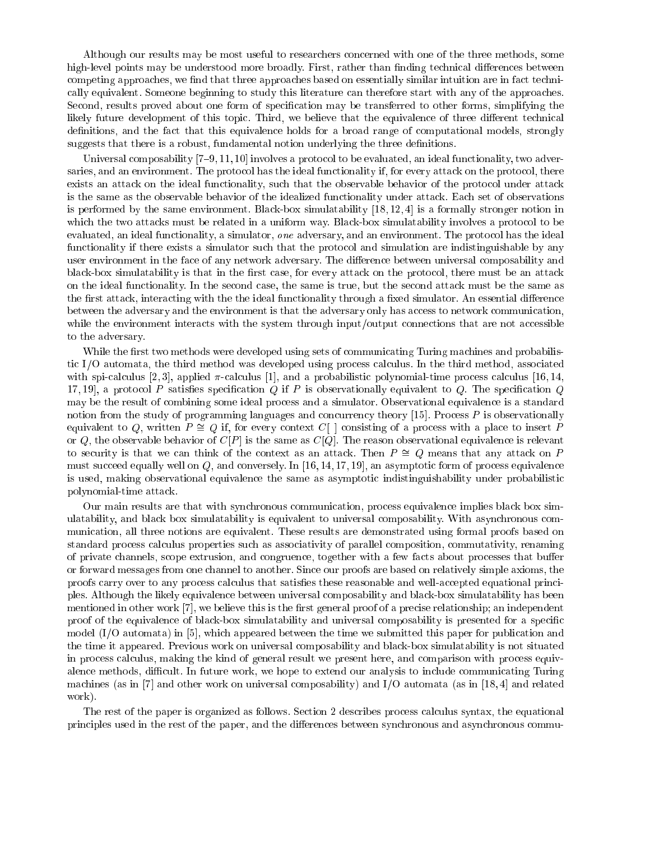Although our results may be most useful to researchers concerned with one of the three methods, some high-level points may be understood more broadly. First, rather than finding technical differences between competing approaches, we find that three approaches based on essentially similar intuition are in fact technically equivalent. Someone beginning to study this literature can therefore start with any of the approaches. Second, results proved about one form of specification may be transferred to other forms, simplifying the likely future development of this topic. Third, we believe that the equivalence of three different technical definitions, and the fact that this equivalence holds for a broad range of computational models, strongly suggests that there is a robust, fundamental notion underlying the three definitions.

Universal composability  $[7–9, 11, 10]$  involves a protocol to be evaluated, an ideal functionality, two adversaries, and an environment. The protocol has the ideal functionality if, for every attack on the protocol, there exists an attack on the ideal functionality, such that the observable behavior of the protocol under attack is the same as the observable behavior of the idealized functionality under attack. Each set of observations is performed by the same environment. Black-box simulatability  $[18, 12, 4]$  is a formally stronger notion in which the two attacks must be related in a uniform way. Black-box simulatability involves a protocol to be evaluated, an ideal functionality, a simulator, one adversary, and an environment. The protocol has the ideal functionality if there exists a simulator such that the protocol and simulation are indistinguishable by any user environment in the face of any network adversary. The difference between universal composability and black-box simulatability is that in the first case, for every attack on the protocol, there must be an attack on the ideal fun
tionality. In the se
ond ase, the same is true, but the se
ond atta
k must be the same as the first attack, interacting with the the ideal functionality through a fixed simulator. An essential difference between the adversary and the environment is that the adversary only has access to network communication, while the environment interacts with the system through input/output connections that are not accessible to the adversary.

While the first two methods were developed using sets of communicating Turing machines and probabilistic I/O automata, the third method was developed using process calculus. In the third method, associated with spi-calculus [2,3], applied  $\pi$ -calculus [1], and a probabilistic polynomial-time process calculus [16,14, 17, 19, a protocol P satisfies specification Q if P is observationally equivalent to Q. The specification Q may be the result of ombining some ideal pro
ess and a simulator. Observational equivalen
e is a standard notion from the study of programming languages and concurrency theory  $[15]$ . Process P is observationally equivalent to Q, written  $P \cong Q$  if, for every context  $C[\ ]$  consisting of a process with a place to insert P or Q, the observable behavior of  $C[P]$  is the same as  $C[Q]$ . The reason observational equivalence is relevant to security is that we can think of the context as an attack. Then  $P \cong Q$  means that any attack on P must succeed equally well on  $Q$ , and conversely. In [16, 14, 17, 19], an asymptotic form of process equivalence is used, making observational equivalence the same as asymptotic indistinguishability under probabilistic polynomial-time atta
k.

Our main results are that with synchronous communication, process equivalence implies black box simulatability, and black box simulatability is equivalent to universal composability. With asynchronous communi
ation, all three notions are equivalent. These results are demonstrated using formal proofs based on standard process calculus properties such as associativity of parallel composition, commutativity, renaming of private channels, scope extrusion, and congruence, together with a few facts about processes that buffer or forward messages from one hannel to another. Sin
e our proofs are based on relatively simple axioms, the proofs carry over to any process calculus that satisfies these reasonable and well-accepted equational principles. Although the likely equivalen
e between universal omposability and bla
k-box simulatability has been mentioned in other work [7], we believe this is the first general proof of a precise relationship; an independent proof of the equivalence of black-box simulatability and universal composability is presented for a specific model  $(I/O$  automata) in [5], which appeared between the time we submitted this paper for publication and the time it appeared. Previous work on universal omposability and bla
k-box simulatability is not situated in process calculus, making the kind of general result we present here, and comparison with process equivalence methods, difficult. In future work, we hope to extend our analysis to include communicating Turing machines (as in [7] and other work on universal composability) and I/O automata (as in [18, 4] and related work).

The rest of the paper is organized as follows. Section 2 describes process calculus syntax, the equational principles used in the rest of the paper, and the differences between synchronous and asynchronous commu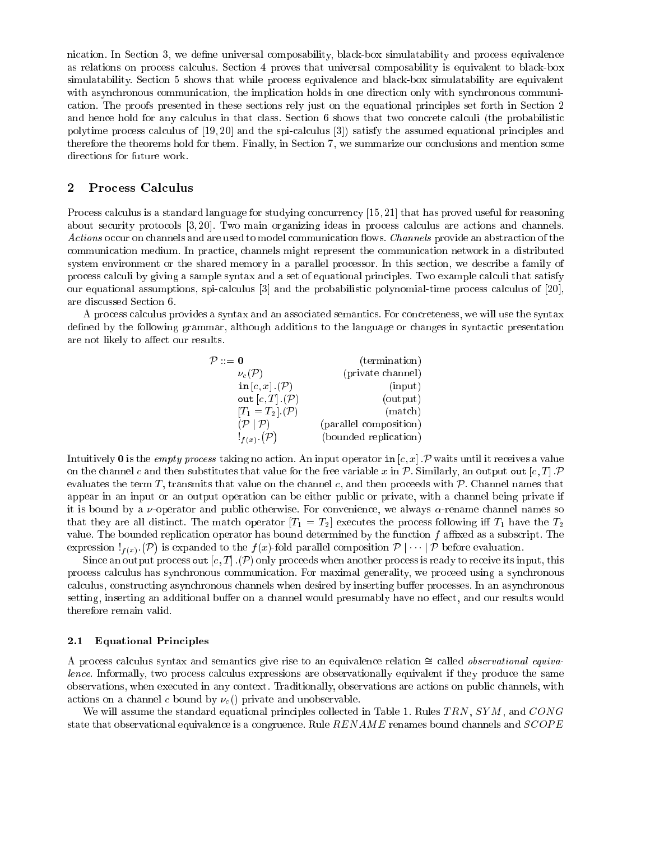nication. In Section 3, we define universal composability, black-box simulatability and process equivalence as relations on process calculus. Section 4 proves that universal composability is equivalent to black-box simulatability. Section 5 shows that while process equivalence and black-box simulatability are equivalent with asynchronous communication, the implication holds in one direction only with synchronous communiation. The proofs presented in these se
tions rely just on the equational prin
iples set forth in Se
tion 2 and hence hold for any calculus in that class. Section 6 shows that two concrete calculi (the probabilistic polytime process calculus of [19, 20] and the spi-calculus [3]) satisfy the assumed equational principles and therefore the theorems hold for them. Finally, in Section 7, we summarize our conclusions and mention some dire
tions for future work.

#### 2 Process Calculus

Process calculus is a standard language for studying concurrency [15, 21] that has proved useful for reasoning about security protocols [3, 20]. Two main organizing ideas in process calculus are actions and channels. Actions occur on channels and are used to model communication flows. Channels provide an abstraction of the communication medium. In practice, channels might represent the communication network in a distributed system environment or the shared memory in a parallel processor. In this section, we describe a family of process calculi by giving a sample syntax and a set of equational principles. Two example calculi that satisfy our equational assumptions, spi-calculus [3] and the probabilistic polynomial-time process calculus of [20], are dis
ussed Se
tion 6.

A process calculus provides a syntax and an associated semantics. For concreteness, we will use the syntax defined by the following grammar, although additions to the language or changes in syntactic presentation are not likely to affect our results.

| $\mathcal{P} ::= \mathbf{0}$   | (termination)          |
|--------------------------------|------------------------|
| $\nu_c(\mathcal{P})$           | (private channel)      |
| in $[c, x]$ . $(\mathcal{P})$  | (input)                |
| out $[c, T]$ . $(\mathcal{P})$ | (output)               |
| $[T_1=T_2]$ . $(\mathcal{P})$  | (match)                |
| (P   P)                        | (parallel composition) |
| $!_{f(x)}$ (P)                 | (bounded replication)  |

Intuitively 0 is the *empty process* taking no action. An input operator in  $[c, x]$ . P waits until it receives a value on the channel c and then substitutes that value for the free variable x in P. Similarly, an output out  $[c, T]$ . P evaluates the term T, transmits that value on the channel c, and then proceeds with  $P$ . Channel names that appear in an input or an output operation can be either public or private, with a channel being private if it is bound by a  $\nu$ -operator and public otherwise. For convenience, we always  $\alpha$ -rename channel names so that they are all distinct. The match operator  $[T_1 = T_2]$  executes the process following iff  $T_1$  have the  $T_2$ value. The bounded replication operator has bound determined by the function  $f$  affixed as a subscript. The expression  $!_{f(x)}$ . <sup>P</sup> ) is expanded to the  $f(x)$ -fold parallel composition  $\mathcal{P} \mid \cdots \mid \mathcal{P}$  before evaluation.

Since an output process  ${\tt out}[c,T]$  .(P) only proceeds when another process is ready to receive its input, this process calculus has synchronous communication. For maximal generality, we proceed using a synchronous calculus, constructing asynchronous channels when desired by inserting buffer processes. In an asynchronous setting, inserting an additional buffer on a channel would presumably have no effect, and our results would therefore remain valid.

#### 2.1 Equational Prin
iples

A process calculus syntax and semantics give rise to an equivalence relation  $\cong$  called *observational equiva*lence. Informally, two process calculus expressions are observationally equivalent if they produce the same observations, when executed in any context. Traditionally, observations are actions on public channels, with actions on a channel c bound by  $\nu_c$  () private and unobservable.

We will assume the standard equational principles collected in Table 1. Rules  $TRN$ ,  $SYM$ , and  $CONG$ state that observational equivalence is a congruence. Rule  $RENAME$  renames bound channels and  $SCOPE$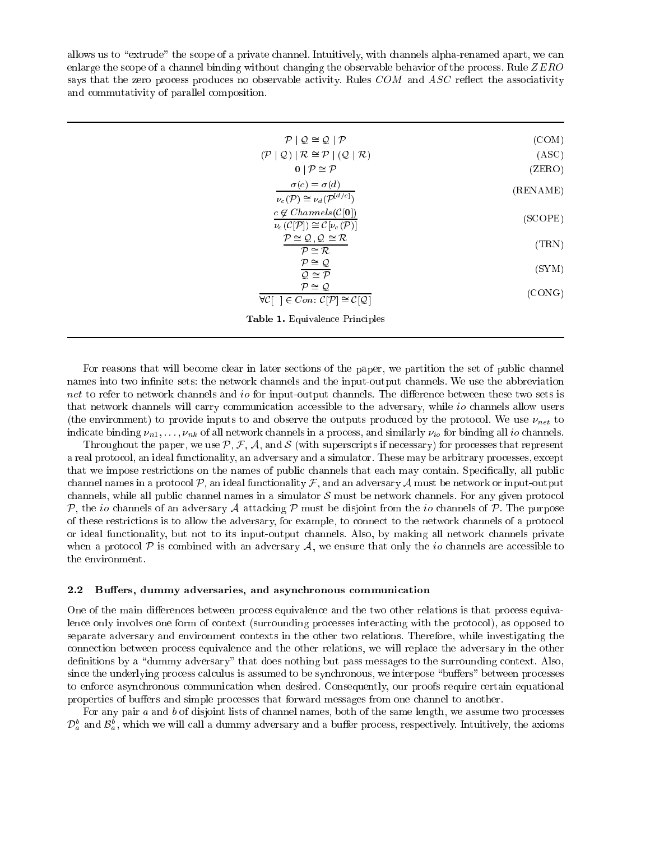allows us to "extrude" the scope of a private channel. Intuitively, with channels alpha-renamed apart, we can enlarge the scope of a channel binding without changing the observable behavior of the process. Rule ZERO says that the zero process produces no observable activity. Rules COM and ASC reflect the associativity and commutativity of parallel composition.

| (COM)             | $\mathcal{P} \mid \mathcal{Q} \cong \mathcal{Q} \mid \mathcal{P}$                                              |
|-------------------|----------------------------------------------------------------------------------------------------------------|
| (ASC)             | $(\mathcal{P}   \mathcal{Q})   \mathcal{R} \cong \mathcal{P}   (\mathcal{Q}   \mathcal{R})$                    |
| $(\mathrm{ZERO})$ | $0   P \cong P$                                                                                                |
| (RENAME)          | $\sigma(c) = \sigma(d)$<br>$\nu_c(\mathcal{P}) \cong \nu_d(\mathcal{P}^{[d/c]})$                               |
| (SCOPE)           | $c \notin Channels(\mathcal{C}[0])$<br>$\nu_c(\mathcal{C}[\mathcal{P}]) \cong \mathcal{C}[\nu_c(\mathcal{P})]$ |
| $(\text{TRN})$    | $P \cong Q, Q \cong R$<br>$P \cong \mathcal{R}$                                                                |
| (SYM)             | $P \cong Q$<br>$Q \cong P$                                                                                     |
| (CONG)            | $P \cong Q$<br>$\forall \mathcal{C}$ [ ] $\in Con: \mathcal{C}[\mathcal{P}] \cong \mathcal{C}[\mathcal{Q}]$    |
|                   | <b>Table 1.</b> Equivalence Principles                                                                         |

For reasons that will become clear in later sections of the paper, we partition the set of public channel names into two infinite sets: the network channels and the input-output channels. We use the abbreviation net to refer to network channels and *io* for input-output channels. The difference between these two sets is that network channels will carry communication accessible to the adversary, while *io* channels allow users (the environment) to provide inputs to and observe the outputs produced by the protocol. We use  $\nu_{net}$  to indicate binding  $\nu_{n1},\ldots,\nu_{nk}$  of all network channels in a process, and similarly  $\nu_{io}$  for binding all io channels.

Throughout the paper, we use  $P, F, A$ , and S (with superscripts if necessary) for processes that represent a real protocol, an ideal functionality, an adversary and a simulator. These may be arbitrary processes, except that we impose restrictions on the names of public channels that each may contain. Specifically, all public channel names in a protocol  $\mathcal{P}$ , an ideal functionality  $\mathcal{F}$ , and an adversary  $\mathcal{A}$  must be network or input-output channels, while all public channel names in a simulator  $\mathcal S$  must be network channels. For any given protocol P, the io channels of an adversary A attacking P must be disjoint from the io channels of P. The purpose of these restrictions is to allow the adversary, for example, to connect to the network channels of a protocol or ideal functionality, but not to its input-output channels. Also, by making all network channels private when a protocol  $P$  is combined with an adversary  $A$ , we ensure that only the *io* channels are accessible to the environment.

#### $2.2$ Buffers, dummy adversaries, and asynchronous communication

One of the main differences between process equivalence and the two other relations is that process equivalence only involves one form of context (surrounding processes interacting with the protocol), as opposed to separate adversary and environment contexts in the other two relations. Therefore, while investigating the connection between process equivalence and the other relations, we will replace the adversary in the other definitions by a "dummy adversary" that does nothing but pass messages to the surrounding context. Also, since the underlying process calculus is assumed to be synchronous, we interpose "buffers" between processes to enforce asynchronous communication when desired. Consequently, our proofs require certain equational properties of buffers and simple processes that forward messages from one channel to another.

For any pair  $a$  and  $b$  of disjoint lists of channel names, both of the same length, we assume two processes  $\mathcal{D}_a^b$  and  $\mathcal{B}_a^b$ , which we will call a dummy adversary and a buffer process, respectively. Intuitively, the axioms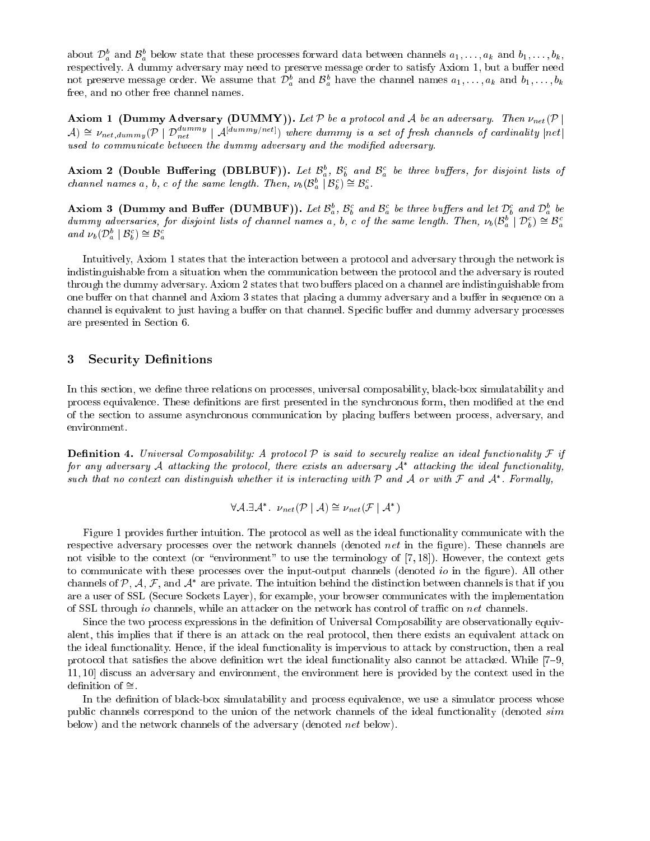about  $\mathcal{D}_a^b$  and  $\mathcal{B}_a^b$  below state that these processes forward data between channels  $a_1,\ldots,a_k$  and  $b_1,\ldots,b_k,$ respectively. A dummy adversary may need to preserve message order to satisfy Axiom 1, but a buffer need not preserve message order. We assume that  $\mathcal{D}_a^b$  and  $\mathcal{B}_a^b$  have the channel names  $a_1,\ldots,a_k$  and  $b_1,\ldots,b_k$ free, and no other free hannel names.

Axiom 1 (Dummy Adversary (DUMMY)). Let  $P$  be a protocol and A be an adversary. Then  $\nu_{net}(P)$  $\mathcal{A}) \cong \nu_{net, dummy}(\mathcal{P} \mid \mathcal{D}_{net}^{dummy} \mid \mathcal{A}^{[dummy/net]})$  where dummy is a set of fresh channels of cardinality  $|net|$ used to communicate between the dummy adversary and the modified adversary.

Axiom 2 (Double Buffering (DBLBUF)). Let  $\mathcal{B}_a^b$ ,  $\mathcal{B}_b^c$  and  $\mathcal{B}_a^c$  be three buffers, for disjoint lists of channel names a, b, c of the same length. Then,  $\nu_b(\mathcal{B}_a^b \mid \mathcal{B}_b^c) \cong \mathcal{B}_a^c$ .

Axiom 3 (Dummy and Buffer (DUMBUF)). Let  $\mathcal{B}_a^b$ ,  $\mathcal{B}_b^c$  and  $\mathcal{B}_a^c$  be three buffers and let  $\mathcal{D}_b^c$  and  $\mathcal{D}_a^b$  be dummy adversaries, for disjoint lists of channel names a, b, c of the same length. and  $\nu_b(\mathcal{D}_a^b \mid \mathcal{B}_b^c) \cong \mathcal{B}_a^c$ 

Intuitively, Axiom 1 states that the interaction between a protocol and adversary through the network is indistinguishable from a situation when the communication between the protocol and the adversary is routed through the dummy adversary. Axiom 2 states that two buffers placed on a channel are indistinguishable from one buffer on that channel and Axiom 3 states that placing a dummy adversary and a buffer in sequence on a channel is equivalent to just having a buffer on that channel. Specific buffer and dummy adversary processes are presented in Se
tion 6.

#### 3 Security Definitions

In this section, we define three relations on processes, universal composability, black-box simulatability and process equivalence. These definitions are first presented in the synchronous form, then modified at the end of the section to assume asynchronous communication by placing buffers between process, adversary, and environment.

**Definition 4.** Universal Composability: A protocol P is said to securely realize an ideal functionality F if for any aaversary A attacking the protocol, there exists an aaversary A -attacking the ideal functionality, such that no context can aistinguish whether it is interacting with  $\gamma$  and  $\mathcal A$  or with  $\tau$  and  $\mathcal A$  . Formally,

$$
\forall A. \exists A^* \quad \nu_{net}(\mathcal{P} \mid A) \cong \nu_{net}(\mathcal{F} \mid A^*)
$$

Figure 1 provides further intuition. The protocol as well as the ideal functionality communicate with the respective adversary processes over the network channels (denoted *net* in the figure). These channels are not visible to the context (or "environment" to use the terminology of  $[7, 18]$ ). However, the context gets to communicate with these processes over the input-output channels (denoted *io* in the figure). All other channels of  $P,$   $A,$   $F,$  and  $A$  –are private. The intuition behind the distinction between channels is that if you are a user of SSL (Secure Sockets Layer), for example, your browser communicates with the implementation of SSL through *io* channels, while an attacker on the network has control of traffic on *net* channels.

Since the two process expressions in the definition of Universal Composability are observationally equivalent, this implies that if there is an attack on the real protocol, then there exists an equivalent attack on the ideal functionality. Hence, if the ideal functionality is impervious to attack by construction, then a real protocol that satisfies the above definition wrt the ideal functionality also cannot be attacked. While [7-9, 11, 10 discuss an adversary and environment, the environment here is provided by the context used in the definition of  $\cong$ .

In the definition of black-box simulatability and process equivalence, we use a simulator process whose public channels correspond to the union of the network channels of the ideal functionality (denoted sim below) and the network channels of the adversary (denoted *net* below).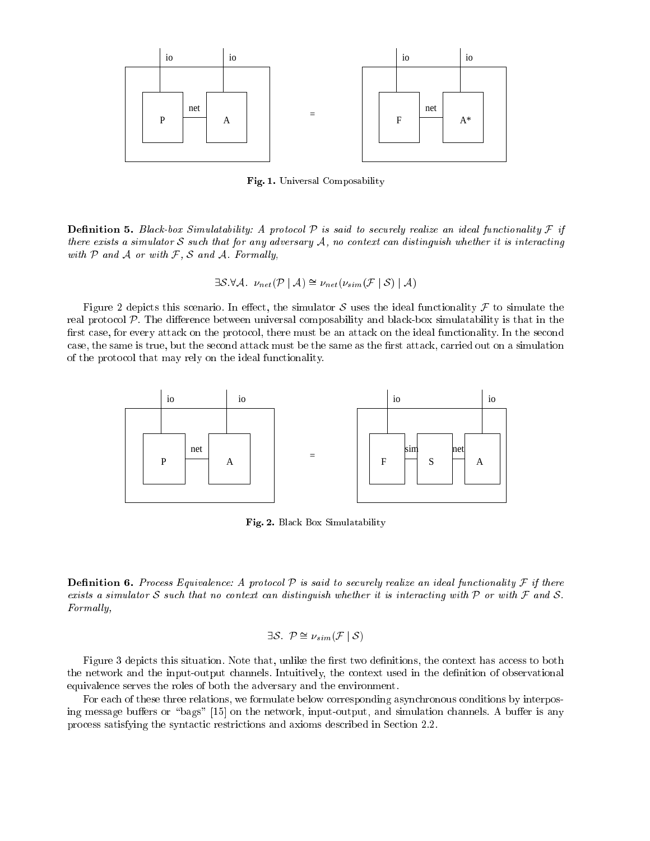

Fig. 1. Universal Composability

**Definition 5.** Black-box Simulatability: A protocol P is said to securely realize an ideal functionality F if there exists a simulator S such that for any adversary  $A$ , no context can distinguish whether it is interacting with  $P$  and  $A$  or with  $F$ ,  $S$  and  $A$ . Formally,

$$
\exists \mathcal{S}.\forall \mathcal{A}. \nu_{net}(\mathcal{P} \mid \mathcal{A}) \cong \nu_{net}(\nu_{sim}(\mathcal{F} \mid \mathcal{S}) \mid \mathcal{A})
$$

Figure 2 depicts this scenario. In effect, the simulator S uses the ideal functionality F to simulate the real protocol P. The difference between universal composability and black-box simulatability is that in the first case, for every attack on the protocol, there must be an attack on the ideal functionality. In the second case, the same is true, but the second attack must be the same as the first attack, carried out on a simulation of the proto
ol that may rely on the ideal fun
tionality.



Fig. 2. Bla
k Box Simulatability

**Definition 6.** Process Equivalence: A protocol P is said to securely realize an ideal functionality F if there exists a simulator S such that no context can distinguish whether it is interacting with  $P$  or with  $F$  and S. Formally,

$$
\exists \mathcal{S}. \ \mathcal{P} \cong \nu_{sim}(\mathcal{F} \,|\, \mathcal{S})
$$

Figure 3 depicts this situation. Note that, unlike the first two definitions, the context has access to both the network and the input-output channels. Intuitively, the context used in the definition of observational equivalence serves the roles of both the adversary and the environment.

For each of these three relations, we formulate below corresponding asynchronous conditions by interposing message buffers or "bags" [15] on the network, input-output, and simulation channels. A buffer is any process satisfying the syntactic restrictions and axioms described in Section 2.2.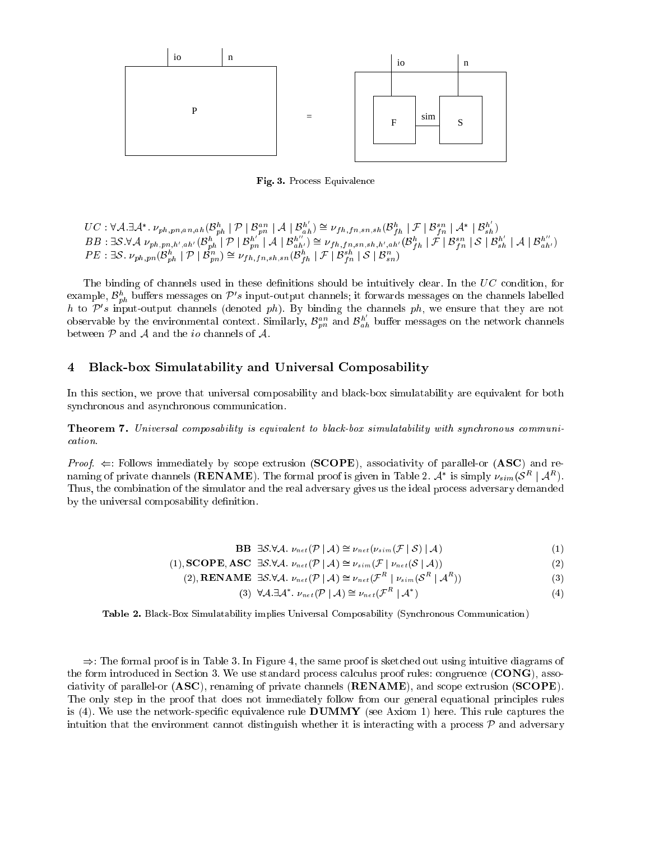

Fig. 3. Pro
ess Equivalen
e

 $UC: \forall \mathcal{A} . \exists \mathcal{A}^*.\ \nu_{ph,pn,an,ah}(\mathcal{B}^h_{ph} \mid \mathcal{P} \mid \mathcal{B}^{an}_{pn} \mid \mathcal{A} \mid \mathcal{B}^{h'}_{ah}) \cong \nu_{fh,fn,sn,sh}(\mathcal{B}^h_{fh} \mid \mathcal{F} \mid \mathcal{B}^{sn}_{fn} \mid \mathcal{A}^* \mid \mathcal{B}^{h'}_{sh})$  $\begin{array}{l} BB:\exists\mathcal{S}.\forall\mathcal{A}\;\nu_{ph,pn,h',ah'}(\mathcal{B}^h_{ph}\mid\mathcal{P}\mid\mathcal{B}^{h'}_{pn}\mid\mathcal{A}\mid\mathcal{B}^{h''}_{ah'})\cong\nu_{fh,fn,sn,h,h',ah',ah'}(\mathcal{B}^h_{fh}\mid\mathcal{F}\mid\mathcal{B}^{sn}_{fn}\mid\mathcal{S}\mid\mathcal{B}^{h'}_{sh}\mid\mathcal{A}\mid\mathcal{B}^{h''}_{ah'})\ P E:\exists\mathcal{S}.\;\nu_{ph,pn}(\mathcal{B}^h_{ph}\mid\mathcal{P}\mid\mathcal{B}^m_{$ 

The binding of channels used in these definitions should be intuitively clear. In the  $UC$  condition, for example,  $\mathcal{B}^h_{ph}$  buffers messages on  $\mathcal{P}'s$  input-output channels; it forwards messages on the channels labelled h to  $\mathcal{P}'s$  input-output channels (denoted ph). By binding the channels ph, we ensure that they are not observable by the environmental context. Similarly,  $\mathcal{B}_{pn}^{an}$  and  $\mathcal{B}_{ah}^{h'}$  buffer messages on the network channels between  $P$  and  $A$  and the *io* channels of  $A$ .

#### 4 Bla
k-box Simulatability and Universal Composability

In this section, we prove that universal composability and black-box simulatability are equivalent for both synchronous and asynchronous communication.

**Theorem 7.** Universal composability is equivalent to black-box simulatability with synchronous communication.

*Proof.*  $\Leftarrow$ : Follows immediately by scope extrusion (**SCOPE**), associativity of parallel-or (**ASC**) and renaming of private channels (**RENAME**). The formal proof is given in Table 2.  $\mathcal{A}^*$  is simply  $\nu_{sim}(\mathcal{S}^R | \mathcal{A}^R)$ . Thus, the combination of the simulator and the real adversary gives us the ideal process adversary demanded by the universal composability definition.

$$
\mathbf{B}\mathbf{B} \exists \mathcal{S}.\forall \mathcal{A}. \nu_{net}(\mathcal{P} \mid \mathcal{A}) \cong \nu_{net}(\nu_{sim}(\mathcal{F} \mid \mathcal{S}) \mid \mathcal{A}) \tag{1}
$$

(1), **SCOPE**, **ASC**  $\exists S.\forall A$ .  $\nu_{net}(\mathcal{P} \mid A) \cong \nu_{sim}(\mathcal{F} \mid \nu_{net}(\mathcal{S} \mid A))$  (2)

(2), **RENAME** 
$$
\exists S. \forall A. \nu_{net}(\mathcal{P} \mid A) \cong \nu_{net}(\mathcal{F}^R \mid \nu_{sim}(\mathcal{S}^R \mid \mathcal{A}^R))
$$
 (3)

$$
(3) \ \forall A. \exists A^*.\ \nu_{net}(\mathcal{P} \mid A) \cong \nu_{net}(\mathcal{F}^R \mid A^*)
$$
 (4)

Table 2. Black-Box Simulatability implies Universal Composability (Synchronous Communication)

 $\Rightarrow$ : The formal proof is in Table 3. In Figure 4, the same proof is sketched out using intuitive diagrams of the form introduced in Section 3. We use standard process calculus proof rules: congruence  $(CONG)$ , associativity of parallel-or  $(ASC)$ , renaming of private channels  $(RENAME)$ , and scope extrusion  $(SCODE)$ . The only step in the proof that does not immediately follow from our general equational principles rules is (4). We use the network-specific equivalence rule  $\bf{DUMMY}$  (see Axiom 1) here. This rule captures the intuition that the environment cannot distinguish whether it is interacting with a process  $P$  and adversary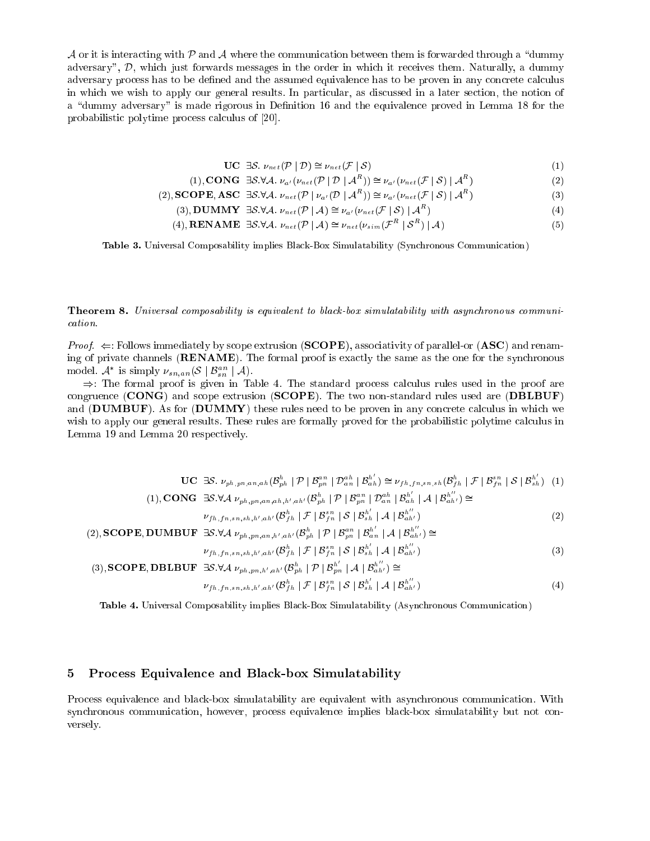A or it is interacting with P and A where the communication between them is forwarded through a "dummy" adversary", D, which just forwards messages in the order in which it receives them. Naturally, a dummy adversary process has to be defined and the assumed equivalence has to be proven in any concrete calculus in which we wish to apply our general results. In particular, as discussed in a later section, the notion of a "dummy adversary" is made rigorous in Definition 16 and the equivalence proved in Lemma 18 for the probabilistic polytime process calculus of [20].

$$
\mathbf{UC} \exists \mathcal{S}. \nu_{net}(\mathcal{P} \mid \mathcal{D}) \cong \nu_{net}(\mathcal{F} \mid \mathcal{S}) \tag{1}
$$

$$
(1), \text{CONG } \exists \mathcal{S}.\forall \mathcal{A}. \nu_{a'}(\nu_{net}(\mathcal{P} \mid \mathcal{D} \mid \mathcal{A}^R)) \cong \nu_{a'}(\nu_{net}(\mathcal{F} \mid \mathcal{S}) \mid \mathcal{A}^R)
$$
\n
$$
(2)
$$

(2), **SCOPE**, **ASC** 
$$
\exists S \forall A. \nu_{net}(\mathcal{P} \mid \nu_{a'}(\mathcal{D} \mid A^{A})) \cong \nu_{a'}(\nu_{net}(\mathcal{F} \mid S) \mid A^{A})
$$
 (3)

$$
(3), DUMMY \exists S. \forall A. \nu_{net}(\mathcal{P} \mid A) \cong \nu_{a'}(\nu_{net}(\mathcal{F} \mid S) \mid A^{a'})
$$
 (4)

$$
(4), RENAME \exists S. \forall A. \nu_{net}(\mathcal{P} \mid A) \cong \nu_{net}(\nu_{sim}(\mathcal{F}^R \mid \mathcal{S}^R) \mid A)
$$
 (5)

Table 3. Universal Composability implies Black-Box Simulatability (Synchronous Communication)

**Theorem 8.** Universal composability is equivalent to black-box simulatability with asynchronous communication.

*Proof.*  $\Leftarrow$ : Follows immediately by scope extrusion (**SCOPE**), associativity of parallel-or (**ASC**) and renaming of private channels  $(RENAME)$ . The formal proof is exactly the same as the one for the synchronous model.  $\mathcal{A}^*$  is simply  $\nu_{sn,an}(\mathcal{S} \mid \mathcal{B}_{sn}^{an} \mid \mathcal{A})$ .

 $\Rightarrow$ : The formal proof is given in Table 4. The standard process calculus rules used in the proof are congruence (CONG) and scope extrusion (SCOPE). The two non-standard rules used are (DBLBUF) and  $(DUMBUF)$ . As for  $(DUMMY)$  these rules need to be proven in any concrete calculus in which we wish to apply our general results. These rules are formally proved for the probabilistic polytime calculus in Lemma 19 and Lemma 20 respe
tively.

| $\mathbf{UC} \exists S. \nu_{ph,pn,an,ah}(\mathcal{B}_{ph}^h \mid \mathcal{P} \mid \mathcal{B}_{pn}^{an} \mid \mathcal{D}_{an}^{ah} \mid \mathcal{B}_{ah}^{h'}) \cong \nu_{fh,fn,sn,sh}(\mathcal{B}_{fh}^h \mid \mathcal{F} \mid \mathcal{B}_{fn}^{sn} \mid S \mid \mathcal{B}_{sh}^{h'})$ (1) |                   |
|------------------------------------------------------------------------------------------------------------------------------------------------------------------------------------------------------------------------------------------------------------------------------------------------|-------------------|
| (1), CONG $\exists S.\forall A \nu_{ph,pn,an,ah,h',ah'}(\mathcal{B}_{ph}^h \mid \mathcal{P} \mid \mathcal{B}_{pn}^{an} \mid \mathcal{D}_{an}^{ah} \mid \mathcal{B}_{ah}^{h'} \mid A \mid \mathcal{B}_{ah'}^{h''}) \cong$                                                                       |                   |
| $\nu_{fh,fn,sn,sh,h',ah'}(\mathcal{B}_{fh}^h \mid \mathcal{F} \mid \mathcal{B}_{fn}^{sn} \mid \mathcal{S} \mid \mathcal{B}_{sh}^{h'} \mid \mathcal{A} \mid \mathcal{B}_{ah'}^{h''})$                                                                                                           | (2)               |
| (2), <b>SCOPE</b> , <b>DUMBUF</b> $\exists S.\forall A \nu_{ph,pn,an,h',ah'}(\mathcal{B}_{ph}^h \mid \mathcal{P} \mid \mathcal{B}_{pn}^{an} \mid \mathcal{B}_{an}^{h'} \mid A \mid \mathcal{B}_{ah'}^{h''}) \cong$                                                                             |                   |
| $\nu_{fh,fn,sn,sh,h',ah'}(\mathcal{B}_{fh}^h \mid \mathcal{F} \mid \mathcal{B}_{fn}^{sn} \mid \mathcal{S} \mid \mathcal{B}_{sh}^{h'} \mid \mathcal{A} \mid \mathcal{B}_{ah'}^{h''})$                                                                                                           | (3)               |
| (3), <b>SCOPE</b> , <b>DBLBUF</b> $\exists S.\forall A \nu_{ph,pn,h',ah'}(B_{ph}^h \mid \mathcal{P} \mid B_{pn}^{h'} \mid A \mid B_{ah'}^{h''}) \cong$                                                                                                                                         |                   |
| $\nu_{fh,fn,sn,sh,h',ah'}(\mathcal{B}_{fh}^h   \mathcal{F}   \mathcal{B}_{fn}^{sn}   \mathcal{S}   \mathcal{B}_{sh}^{h'}   \mathcal{A}   \mathcal{B}_{ah'}^{h''})$                                                                                                                             | $\left( 4\right)$ |

Table 4. Universal Composability implies Black-Box Simulatability (Asynchronous Communication)

# 5 Pro
ess Equivalen
e and Bla
k-box Simulatability

Process equivalence and black-box simulatability are equivalent with asynchronous communication. With synchronous communication, however, process equivalence implies black-box simulatability but not conversely.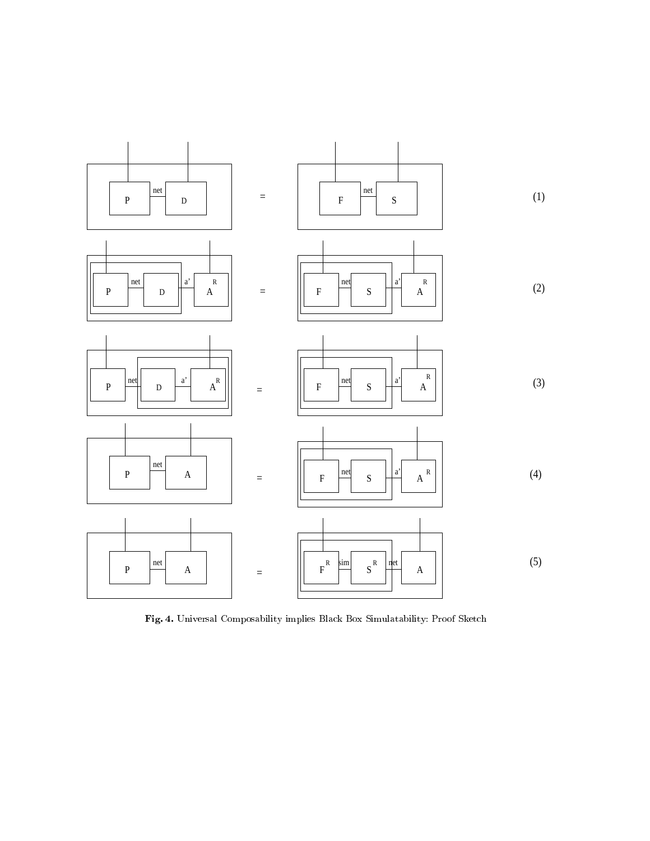

Fig. 4. Universal Composability implies Bla
k Box Simulatability: Proof Sket
h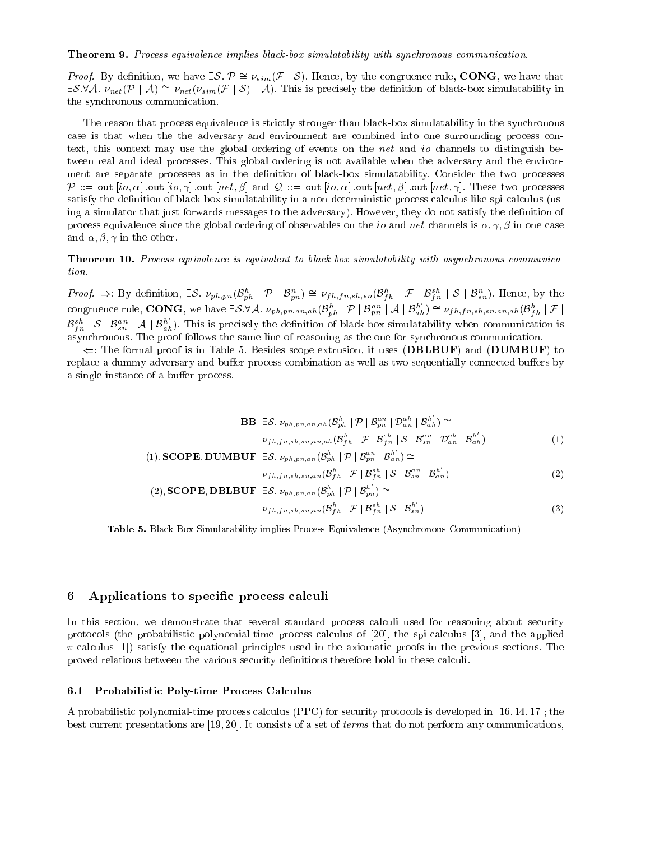**Theorem 9.** Process equivalence implies black-box simulatability with synchronous communication.

*Proof.* By definition, we have  $\exists S. \mathcal{P} \cong \nu_{sim}(\mathcal{F} \mid S)$ . Hence, by the congruence rule, CONG, we have that  $\exists S.\forall A.\nu_{net}(P \mid A) \cong \nu_{net}(\nu_{sim}(F \mid S) \mid A)$ . This is precisely the definition of black-box simulatability in the syn
hronous ommuni
ation.

The reason that process equivalence is strictly stronger than black-box simulatability in the synchronous case is that when the the adversary and environment are combined into one surrounding process context, this context may use the global ordering of events on the *net* and *io* channels to distinguish between real and ideal processes. This global ordering is not available when the adversary and the environment are separate processes as in the definition of black-box simulatability. Consider the two processes  $\mathcal{P} ::= \texttt{out}[io, \alpha] \cdot \texttt{out}[io, \gamma] \cdot \texttt{out}[net, \beta] \text{ and } \mathcal{Q} ::= \texttt{out}[io, \alpha] \cdot \texttt{out}[net, \beta] \cdot \texttt{out}[net, \gamma].$  These two processes satisfy the definition of black-box simulatability in a non-deterministic process calculus like spi-calculus (using a simulator that just forwards messages to the adversary). However, they do not satisfy the definition of process equivalence since the global ordering of observables on the *io* and *net* channels is  $\alpha, \gamma, \beta$  in one case and  $\alpha$ ,  $\beta$ ,  $\gamma$  in the other.

**Theorem 10.** Process equivalence is equivalent to black-box simulatability with asynchronous communication.

*Proof.*  $\Rightarrow$ : By definition,  $\exists S. \nu_{ph,pn}(\mathcal{B}_{ph}^h \mid \mathcal{P} \mid \mathcal{B}_{pn}^n) \cong \nu_{fh,fn,sh,sn}(\mathcal{B}_{fh}^h \mid \mathcal{F} \mid \mathcal{B}_{fn}^{sh} \mid S \mid \mathcal{B}_{sn}^n)$ . Hence, by the congruence rule, **CONG**, we have  $\exists S.\forall A. \nu_{ph,pn,an,ah}(\mathcal{B}_{ph}^h \mid \mathcal{P}$  $\mathcal{B}_{fn}^{sh}$  |  $\mathcal{S}$  |  $\mathcal{B}_{sn}^{an}$  |  $\mathcal{A}$  |  $\mathcal{B}_{ah}^{h'}$ ). This is precisely the definition of black-box simulatability when communication is asynchronous. The proof follows the same line of reasoning as the one for synchronous communication.

 $\Leftarrow$ : The formal proof is in Table 5. Besides scope extrusion, it uses (DBLBUF) and (DUMBUF) to replace a dummy adversary and buffer process combination as well as two sequentially connected buffers by a single instance of a buffer process.

$$
\mathbf{B}\mathbf{B} \quad \exists \mathcal{S}. \quad \nu_{ph, pn, an, ah}(\mathcal{B}_{ph}^{h} \mid \mathcal{P} \mid \mathcal{B}_{pn}^{an} \mid \mathcal{D}_{an}^{ah} \mid \mathcal{B}_{ah}^{h'}) \cong
$$
\n
$$
\nu_{fh, fn, sh, sn, an, ah}(\mathcal{B}_{fh}^{h} \mid \mathcal{F} \mid \mathcal{B}_{fn}^{sh} \mid \mathcal{S} \mid \mathcal{B}_{sn}^{an} \mid \mathcal{D}_{an}^{ah} \mid \mathcal{B}_{ah}^{h'})
$$
\n
$$
(1)
$$

$$
(1), SCOPE, DUMBUF \exists S. \nu_{ph,pn,an}(\mathcal{B}_{ph}^{h} \mid \mathcal{P} \mid \mathcal{B}_{pn}^{an} \mid \mathcal{B}_{an}^{h'}) \cong
$$

$$
\nu_{fh,fn,sh,sn,an}(\mathcal{B}_{fh}^{h} \mid \mathcal{F} \mid \mathcal{B}_{fn}^{sh} \mid \mathcal{S} \mid \mathcal{B}_{sn}^{an} \mid \mathcal{B}_{an}^{h'})
$$

$$
(2)
$$

(2), **SCOPE**, **DBLBUF** 
$$
\exists S. \nu_{ph,pn,an}(\mathcal{B}_{ph}^h \mid \mathcal{P} \mid \mathcal{B}_{pn}^{h'}) \cong
$$
  

$$
\nu_{fh,fn,sh,sn,an}(\mathcal{B}_{fh}^h \mid \mathcal{F} \mid \mathcal{B}_{fn}^{sh} \mid S \mid \mathcal{B}_{sn}^{h'})
$$
 (3)

Table 5. Bla
k-Box Simulatability implies Pro
ess Equivalen
e (Asyn
hronous Communi
ation)

#### 6 Applications to specific process calculi

In this section, we demonstrate that several standard process calculi used for reasoning about security protocols (the probabilistic polynomial-time process calculus of [20], the spi-calculus [3], and the applied  $\pi$ -calculus [1]) satisfy the equational principles used in the axiomatic proofs in the previous sections. The proved relations between the various security definitions therefore hold in these calculi.

#### $6.1$ Probabilistic Poly-time Process Calculus

A probabilistic polynomial-time process calculus (PPC) for security protocols is developed in [16, 14, 17]; the best current presentations are [19, 20]. It consists of a set of *terms* that do not perform any communications,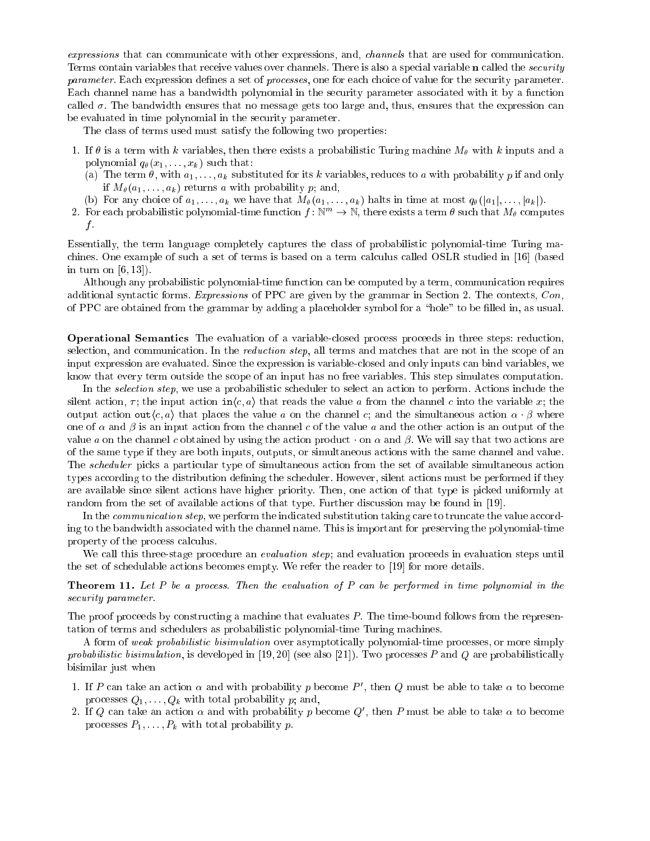expressions that can communicate with other expressions, and, *channels* that are used for communication. Terms contain variables that receive values over channels. There is also a special variable **n** called the *security* parameter. Each expression defines a set of *processes*, one for each choice of value for the security parameter. Each channel name has a bandwidth polynomial in the security parameter associated with it by a function called  $\sigma$ . The bandwidth ensures that no message gets too large and, thus, ensures that the expression can be evaluated in time polynomial in the security parameter.

The class of terms used must satisfy the following two properties:

- 1. If  $\theta$  is a term with k variables, then there exists a probabilistic Turing machine  $M_{\theta}$  with k inputs and a polynomial  $q_{\theta}(x_1, \ldots, x_k)$  such that:
	- (a) The term  $\theta$ , with  $a_1, \ldots, a_k$  substituted for its k variables, reduces to a with probability p if and only if  $M_{\theta}(a_1, \ldots, a_k)$  returns a with probability p; and,
	- (b) For any choice of  $a_1, \ldots, a_k$  we have that  $M_\theta(a_1, \ldots, a_k)$  halts in time at most  $q_\theta(|a_1|, \ldots, |a_k|)$ .
- 2. For each probabilistic polynomial-time function  $f: \mathbb{N}^m \to \mathbb{N}$ , there exists a term  $\theta$  such that  $M_\theta$  computes  $f$  .

Essentially, the term language ompletely aptures the lass of probabilisti polynomial-time Turing ma chines. One example of such a set of terms is based on a term calculus called OSLR studied in [16] (based in turn on  $[6, 13]$ ).

Although any probabilistic polynomial-time function can be computed by a term, communication requires additional syntactic forms. Expressions of PPC are given by the grammar in Section 2. The contexts, Con, of PPC are obtained from the grammar by adding a pla
eholder symbol for a \hole" to be lled in, as usual.

**Operational Semantics** The evaluation of a variable-closed process proceeds in three steps: reduction, selection, and communication. In the *reduction step*, all terms and matches that are not in the scope of an input expression are evaluated. Since the expression is variable-closed and only inputs can bind variables, we know that every term outside the scope of an input has no free variables. This step simulates computation.

In the *selection step*, we use a probabilistic scheduler to select an action to perform. Actions include the silent action,  $\tau$ ; the input action in $\langle c, a \rangle$  that reads the value a from the channel c into the variable x; the output action out $\langle c, a \rangle$  that places the value a on the channel c; and the simultaneous action  $\alpha \cdot \beta$  where one of  $\alpha$  and  $\beta$  is an input action from the channel c of the value a and the other action is an output of the value a on the channel c obtained by using the action product  $\cdot$  on  $\alpha$  and  $\beta$ . We will say that two actions are of the same type if they are both inputs, outputs, or simultaneous a
tions with the same hannel and value. The *scheduler* picks a particular type of simultaneous action from the set of available simultaneous action types according to the distribution defining the scheduler. However, silent actions must be performed if they are available since silent actions have higher priority. Then, one action of that type is picked uniformly at random from the set of available actions of that type. Further discussion may be found in [19].

In the *communication step*, we perform the indicated substitution taking care to truncate the value according to the bandwidth associated with the channel name. This is important for preserving the polynomial-time property of the process calculus.

We call this three-stage procedure an *evaluation step*; and evaluation proceeds in evaluation steps until the set of schedulable actions becomes empty. We refer the reader to [19] for more details.

**Theorem 11.** Let P be a process. Then the evaluation of P can be performed in time polynomial in the security parameter.

The proof proceeds by constructing a machine that evaluates P. The time-bound follows from the representation of terms and schedulers as probabilistic polynomial-time Turing machines.

A form of weak probabilistic bisimulation over asymptotically polynomial-time processes, or more simply probabilistic bisimulation, is developed in [19,20] (see also [21]). Two processes P and Q are probabilistically bisimilar just when

- 1. If P can take an action  $\alpha$  and with probability p become P', then Q must be able to take  $\alpha$  to become processes  $Q_1, \ldots, Q_k$  with total probability p; and,
- 2. If Q can take an action  $\alpha$  and with probability  $p$  become  $Q'$ , then P must be able to take  $\alpha$  to become processes  $P_1, \ldots, P_k$  with total probability p.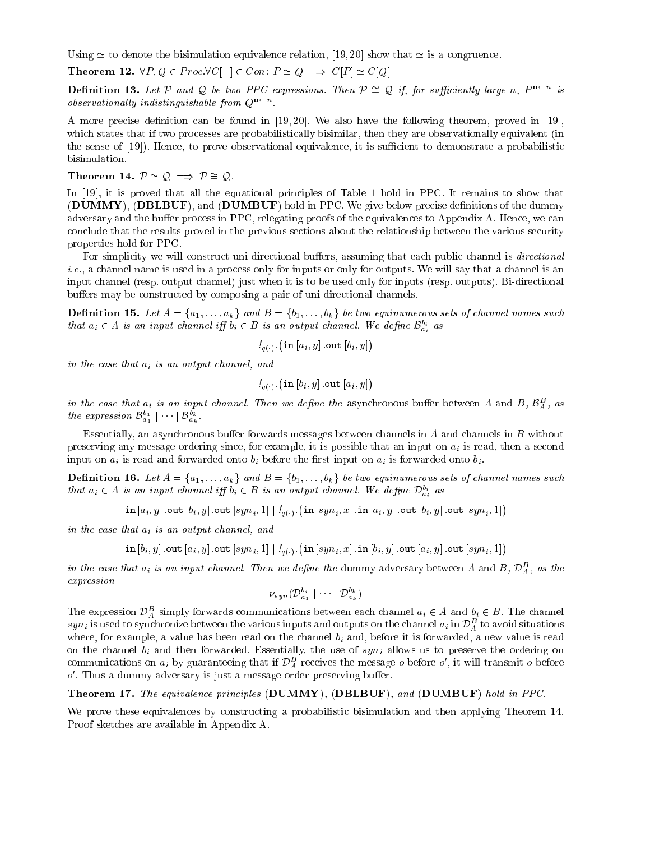Using  $\simeq$  to denote the bisimulation equivalence relation, [19, 20] show that  $\simeq$  is a congruence.

**Theorem 12.**  $\forall P, Q \in \text{Proc.} \forall C \vert \ \vert \in \text{Con} \colon P \simeq Q \implies C[P] \simeq C[Q]$ 

**Definition 13.** Let P and Q be two PPC expressions. Then  $P \cong Q$  if, for sufficiently large n,  $P^{n\leftarrow n}$  is observationally indistinguishable from  $Q^{n\leftarrow n}$ .

A more precise definition can be found in [19,20]. We also have the following theorem, proved in [19], which states that if two processes are probabilistically bisimilar, then they are observationally equivalent (in the sense of [19]. Hence, to prove observational equivalence, it is sufficient to demonstrate a probabilistic bisimulation.

Theorem 14.  $P \simeq Q \implies P \cong Q$ .

In [19], it is proved that all the equational principles of Table 1 hold in PPC. It remains to show that (DUMMY), (DBLBUF), and (DUMBUF) hold in PPC. We give below precise definitions of the dummy adversary and the buffer process in PPC, relegating proofs of the equivalences to Appendix A. Hence, we can conclude that the results proved in the previous sections about the relationship between the various security properties hold for PPC.

For simplicity we will construct uni-directional buffers, assuming that each public channel is *directional i.e.*, a channel name is used in a process only for inputs or only for outputs. We will say that a channel is an input channel (resp. output channel) just when it is to be used only for inputs (resp. outputs). Bi-directional buffers may be constructed by composing a pair of uni-directional channels.

**Definition 15.** Let  $A = \{a_1, \ldots, a_k\}$  and  $B = \{b_1, \ldots, b_k\}$  be two equinumerous sets of channel names such that  $a_i \in A$  is an input channel iff  $b_i \in B$  is an output channel. We define  $\mathcal{B}_{a_i}^{b_i}$  as

$$
l_{q(\cdot)}\,\,(\verb"in"\,[a_{i},y]\,.\verb"out"\,[b_{i},y])
$$

in the case that  $a_i$  is an output channel, and

$$
l_{q(\cdot)}\left(\verb"in"\left[b_{i},y\right]\verb".out"\left[a_{i},y\right]\right)
$$

in the case that  $a_i$  is an input channel. Then we define the asynchronous buffer between A and B,  $\mathcal{B}_A^B$ , as the expression  $\mathcal{B}^{b_1}_{a_1} \mid \cdots \mid \mathcal{B}^{b_k}_{a_k}$ .

Essentially, an asynchronous buffer forwards messages between channels in A and channels in B without preserving any message-ordering since, for example, it is possible that an input on  $a_i$  is read, then a second input on  $a_i$  is read and forwarded onto  $b_i$  before the first input on  $a_i$  is forwarded onto  $b_i$ .

**Definition 16.** Let  $A = \{a_1, \ldots, a_k\}$  and  $B = \{b_1, \ldots, b_k\}$  be two equinumerous sets of channel names such that  $a_i \in A$  is an input channel iff  $b_i \in B$  is an output channel. We define  $\mathcal{D}_{a_i}^{b_i}$  as

 $\verb"in"\left[a_{i},y\right].\verb"out"\left[b_{i},y\right].\verb"out"\left[syn_{i},1\right]\mid\mathit{!}_{q(\cdot)}.\left(\verb"in"\left[syn_{i},x\right].\verb"in"\left[a_{i},y\right].\verb"out"\left[b_{i},y\right].\verb"out"\left[syn_{i},1\right]\right)$ 

in the case that  $a_i$  is an output channel, and

$$
\texttt{in}[b_i, y] \text{ .out}[a_i, y] \text{ .out}[syn_i, 1] | /_{q(.)} (\texttt{in}[syn_i, x] \text{ .in}[b_i, y] \text{ .out}[a_i, y] \text{ .out}[syn_i, 1])
$$

in the case that  $a_i$  is an input channel. Then we define the dummy adversary between A and B,  $\mathcal{D}_A^B$ , as the  $expression$ 

$$
\nu_{syn}(\mathcal{D}_{a_1}^{b_i} \mid \cdots \mid \mathcal{D}_{a_k}^{b_k})
$$

The expression  $\mathcal{D}_{A}^{B}$  simply forwards communications between each channel  $a_i \in A$  and  $b_i \in B$ . The channel  $syn_i$  is used to synchronize between the various inputs and outputs on the channel  $a_i$  in  $\mathcal{D}_A^B$  to avoid situations where, for example, a value has been read on the channel  $b_i$  and, before it is forwarded, a new value is read on the channel  $b_i$  and then forwarded. Essentially, the use of  $syn_i$  allows us to preserve the ordering on communications on  $a_i$  by guaranteeing that if  $\mathcal{D}_A^B$  receives the message  $o$  before  $o'$ , it will transmit  $o$  before  $o'$ . Thus a dummy adversary is just a message-order-preserving buffer.

**Theorem 17.** The equivalence principles (DUMMY), (DBLBUF), and (DUMBUF) hold in PPC.

We prove these equivalences by constructing a probabilistic bisimulation and then applying Theorem 14. Proof sketches are available in Appendix A.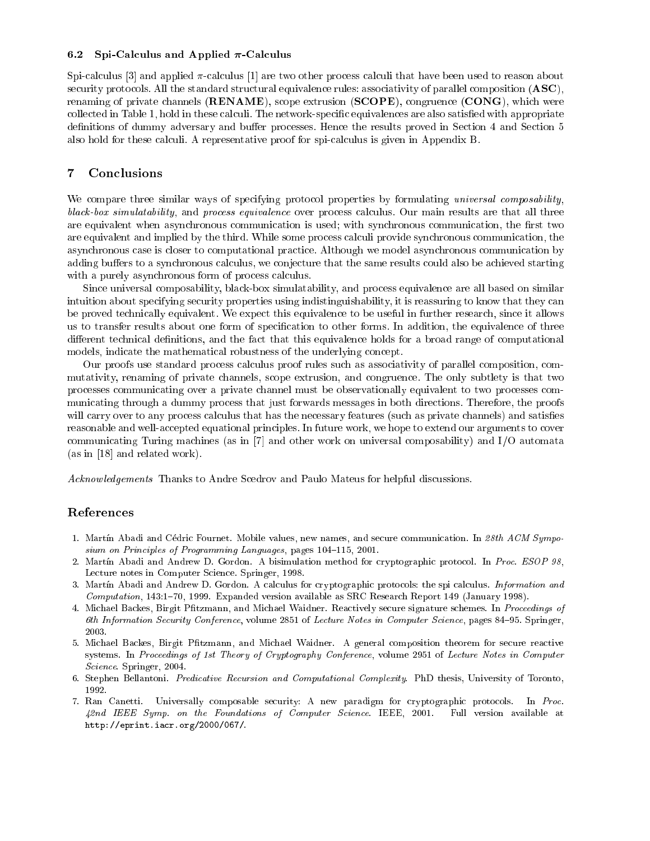#### 6.2 Spi-Calculus and Applied  $\pi$ -Calculus

Spi-calculus [3] and applied  $\pi$ -calculus [1] are two other process calculi that have been used to reason about security protocols. All the standard structural equivalence rules: associativity of parallel composition  $(ASC)$ , renaming of private channels (**RENAME**), scope extrusion (**SCOPE**), congruence (**CONG**), which were collected in Table 1, hold in these calculi. The network-specific equivalences are also satisfied with appropriate definitions of dummy adversary and buffer processes. Hence the results proved in Section 4 and Section 5 also hold for these calculi. A representative proof for spi-calculus is given in Appendix B.

## 7 Con
lusions

We compare three similar ways of specifying protocol properties by formulating *universal composability*, black-box simulatability, and process equivalence over process calculus. Our main results are that all three are equivalent when asynchronous communication is used; with synchronous communication, the first two are equivalent and implied by the third. While some process calculi provide synchronous communication, the asynchronous case is closer to computational practice. Although we model asynchronous communication by adding buffers to a synchronous calculus, we conjecture that the same results could also be achieved starting with a purely asynchronous form of process calculus.

Since universal composability, black-box simulatability, and process equivalence are all based on similar intuition about specifying security properties using indistinguishability, it is reassuring to know that they can be proved technically equivalent. We expect this equivalence to be useful in further research, since it allows us to transfer results about one form of specification to other forms. In addition, the equivalence of three different technical definitions, and the fact that this equivalence holds for a broad range of computational models, indicate the mathematical robustness of the underlying concept.

Our proofs use standard process calculus proof rules such as associativity of parallel composition, commutativity, renaming of private hannels, s
ope extrusion, and ongruen
e. The only subtlety is that two pro
esses ommuni
ating over a private hannel must be observationally equivalent to two pro
esses ommunicating through a dummy process that just forwards messages in both directions. Therefore, the proofs will carry over to any process calculus that has the necessary features (such as private channels) and satisfies reasonable and well-accepted equational principles. In future work, we hope to extend our arguments to cover communicating Turing machines (as in  $[7]$  and other work on universal composability) and  $I/O$  automata  $(as in [18] and related work).$ 

Acknowledgements Thanks to Andre Scedrov and Paulo Mateus for helpful discussions.

## Referen
es

- 1. Martín Abadi and Cédric Fournet. Mobile values, new names, and secure communication. In 28th ACM Symposium on Principles of Programming Languages, pages 104-115, 2001.
- 2. Martín Abadi and Andrew D. Gordon. A bisimulation method for cryptographic protocol. In Proc. ESOP 98, Lecture notes in Computer Science. Springer, 1998.
- 3. Martín Abadi and Andrew D. Gordon. A calculus for cryptographic protocols: the spi calculus. Information and Computation, 143:1-70, 1999. Expanded version available as SRC Research Report 149 (January 1998).
- 4. Michael Backes, Birgit Pfitzmann, and Michael Waidner. Reactively secure signature schemes. In Proceedings of 6th Information Security Conference, volume 2851 of Lecture Notes in Computer Science, pages 84–95. Springer, 2003.
- 5. Michael Backes, Birgit Pfitzmann, and Michael Waidner. A general composition theorem for secure reactive systems. In Proceedings of 1st Theory of Cryptography Conference, volume 2951 of Lecture Notes in Computer Science. Springer, 2004.
- 6. Stephen Bellantoni. Predicative Recursion and Computational Complexity. PhD thesis, University of Toronto, 1992.
- 7. Ran Canetti. Universally composable security: A new paradigm for cryptographic protocols. In Proc. 42nd IEEE Symp. on the Foundations of Computer Science. IEEE, 2001. Full version available at http://eprint.iacr.org/2000/067/.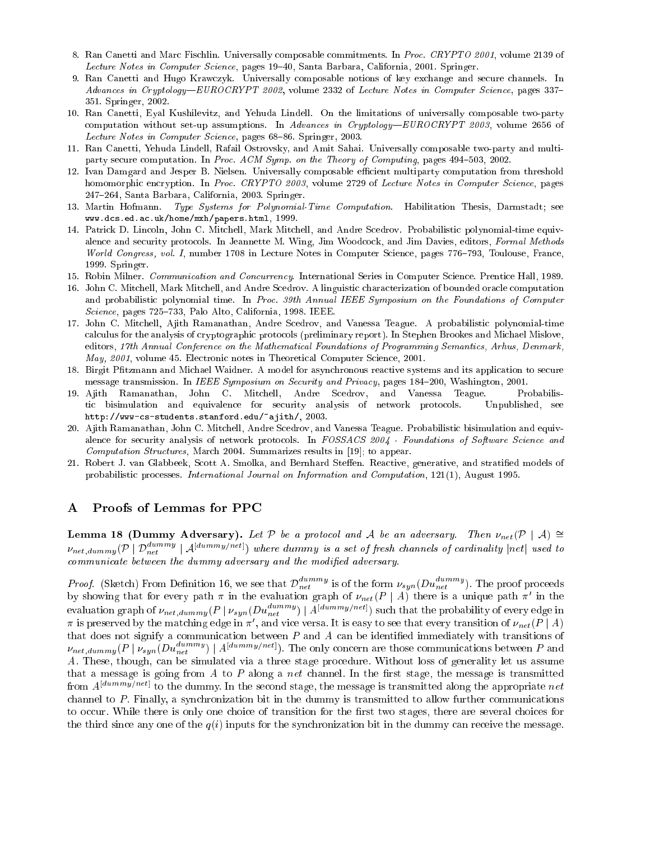- 8. Ran Canetti and Marc Fischlin. Universally composable commitments. In Proc. CRYPTO 2001, volume 2139 of Lecture Notes in Computer Science, pages 19–40, Santa Barbara, California, 2001. Springer.
- 9. Ran Canetti and Hugo Kraw
zyk. Universally omposable notions of key ex
hange and se
ure hannels. In Advances in Cryptology—EUROCRYPT 2002, volume 2332 of Lecture Notes in Computer Science, pages 337– 351. Springer, 2002.
- 10. Ran Canetti, Eyal Kushilevitz, and Yehuda Lindell. On the limitations of universally omposable two-party computation without set-up assumptions. In Advances in Cryptology-EUROCRYPT 2003, volume 2656 of Lecture Notes in Computer Science, pages 68–86. Springer, 2003.
- 11. Ran Canetti, Yehuda Lindell, Rafail Ostrovsky, and Amit Sahai. Universally omposable two-party and multiparty secure computation. In Proc. ACM Symp. on the Theory of Computing, pages 494-503, 2002.
- 12. Ivan Damgard and Jesper B. Nielsen. Universally omposable eÆ
ient multiparty omputation from threshold homomorphic encryption. In Proc. CRYPTO 2003, volume 2729 of Lecture Notes in Computer Science, pages 247{264, Santa Barbara, California, 2003. Springer.
- 13. Martin Hofmann. Type Systems for Polynomial-Time Computation. Habilitation Thesis, Darmstadt; see www.d
s.ed.a
.uk/home/mxh/papers.html, 1999.
- 14. Patri
k D. Lin
oln, John C. Mit
hell, Mark Mit
hell, and Andre S
edrov. Probabilisti polynomial-time equivalence and security protocols. In Jeannette M. Wing, Jim Woodcock, and Jim Davies, editors, Formal Methods World Congress, vol. I, number 1708 in Lecture Notes in Computer Science, pages 776-793, Toulouse, France, 1999. Springer.
- 15. Robin Milner. Communication and Concurrency. International Series in Computer Science. Prentice Hall, 1989.
- 16. John C. Mitchell, Mark Mitchell, and Andre Scedrov. A linguistic characterization of bounded oracle computation and probabilistic polynomial time. In Proc. 39th Annual IEEE Symposium on the Foundations of Computer Science, pages 725-733, Palo Alto, California, 1998. IEEE.
- 17. John C. Mit
hell, Ajith Ramanathan, Andre S
edrov, and Vanessa Teague. A probabilisti polynomial-time calculus for the analysis of cryptographic protocols (preliminary report). In Stephen Brookes and Michael Mislove, editors, 17th Annual Conference on the Mathematical Foundations of Programming Semantics, Arhus, Denmark, May, 2001, volume 45. Electronic notes in Theoretical Computer Science, 2001.
- 18. Birgit Pfitzmann and Michael Waidner. A model for asynchronous reactive systems and its application to secure message transmission. In *IEEE Symposium on Security and Privacy*, pages 184-200, Washington, 2001.
- 19. Ajith Ramanathan, John C. Mit
hell, Andre S
edrov, and Vanessa Teague. Probabilistic bisimulation and equivalence for security analysis of network protocols. Unpublished, see http://wwws-students.stanford.edu/~ajith/, 2003.
- 20. Ajith Ramanathan, John C. Mitchell, Andre Scedrov, and Vanessa Teague. Probabilistic bisimulation and equivalence for security analysis of network protocols. In FOSSACS 2004 - Foundations of Software Science and Computation Structures, March 2004. Summarizes results in [19]; to appear.
- 21. Robert J. van Glabbeek, Scott A. Smolka, and Bernhard Steffen. Reactive, generative, and stratified models of probabilistic processes. International Journal on Information and Computation, 121(1), August 1995.

## A Proofs of Lemmas for PPC

**Lemma 18 (Dummy Adversary).** Let P be a protocol and A be an adversary. Then  $\nu_{net}(\mathcal{P} \mid A) \cong$  $\nu_{net,dummy}(\mathcal{P} \mid \mathcal{D}_{net}^{dummy} \mid \mathcal{A}^{[dummy/net]})$  where dummy is a set of fresh channels of cardinality  $|net|$  used to communicate between the dummy adversary and the modified adversary.

*Proof.* (Sketch) From Definition 16, we see that  $\mathcal{D}_{net}^{dumm}$  is of the form  $\nu_{syn}(Du_{net}^{dumm})$ . The proof proceeds by showing that for every path  $\pi$  in the evaluation graph of  $\nu_{net}(P \mid A)$  there is a unique path  $\pi'$   $\pi$  is preserved by the matching edge in  $\pi'$ , and vice versa. It is easy to see that every transition of  $\nu_{net}(P \mid A)$ that does not signify a communication between  $P$  and  $A$  can be identified immediately with transitions of  $\nu_{net,dummy}(P\mid\nu_{syn}(Du_{net}^{dummy})\mid A^{[dummy/net]})$ . The only concern are those communications between  $P$  and A. These, though, an be simulated via a three stage pro
edure. Without loss of generality let us assume that a message is going from  $A$  to  $P$  along a net channel. In the first stage, the message is transmitted from  $A^{[dummy/net]}$  to the dummy. In the second stage, the message is transmitted along the appropriate net channel to P. Finally, a synchronization bit in the dummy is transmitted to allow further communications to occur. While there is only one choice of transition for the first two stages, there are several choices for the third since any one of the  $q(i)$  inputs for the synchronization bit in the dummy can receive the message.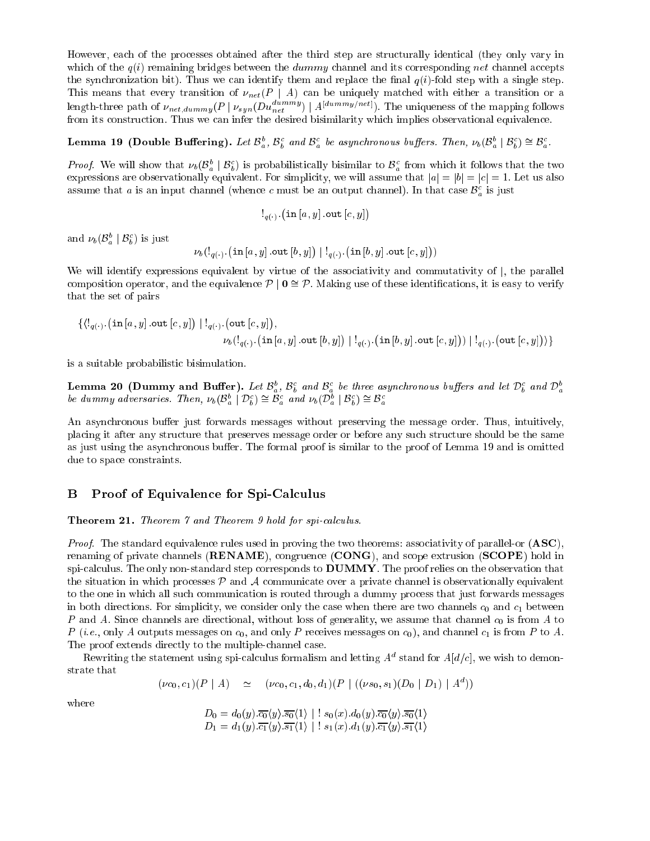However, each of the processes obtained after the third step are structurally identical (they only vary in which of the  $q(i)$  remaining bridges between the *dummy* channel and its corresponding net channel accepts the synchronization bit). Thus we can identify them and replace the final  $q(i)$ -fold step with a single step. This means that every transition of  $\nu_{net}(P \mid A)$  can be uniquely matched with either a transition or a length-three path of  $\nu_{net,dummy}(P\mid \nu_{syn}(Du_{net}^{dummy})\mid A^{[dummy/net]})$ . The uniqueness of the mapping follows from its construction. Thus we can infer the desired bisimilarity which implies observational equivalence.

#### Lemma 19 (Double Buffering). Let  $\mathcal{B}_a^b$ ,  $\mathcal{B}_b^c$  and  $\mathcal{B}_a^c$  be asynchronous buffers. Then,  $\nu_b(\mathcal{B}_a^b \mid \mathcal{B}_b^c) \cong \mathcal{B}_a^c$ .

*Proof.* We will show that  $\nu_b(\mathcal{B}_a^b \mid \mathcal{B}_b^c)$  is probabilistically bisimilar to  $\mathcal{B}_a^c$  from which it follows that the two expressions are observationally equivalent. For simplicity, we will assume that  $|a| = |b| = |c| = 1$ . Let us also assume that a is an input channel (whence c must be an output channel). In that case  $\mathcal{B}_a^c$  is just

$$
\mathcal{F}_{q(\cdot)}\left(\texttt{in}\left[a,y\right].\texttt{out}\left[c,y\right]\right)
$$

and  $\nu_b(\mathcal{B}_a^b \mid \mathcal{B}_b^c)$  is just

 ${\nu}_b(\mathord!_{q(\cdot)}.\big(\texttt{in}[a,y]\hspace{-0.5pt}. \texttt{out}[b,y]\big)$  $|\cdot|_{q(\cdot)}$  (in  $[b,y]$  out  $[c,y])$ )

We will identify expressions equivalent by virtue of the associativity and commutativity of  $\vert$ , the parallel composition operator, and the equivalence  $P | 0 \cong P$ . Making use of these identifications, it is easy to verify that the set of pairs

$$
\begin{array}{c}\n\{\langle\mathsf{l}_{q(\cdot)}.\big(\mathtt{in}\left[a,y\right].\mathtt{out}\left[c,y\right]\big)\mid\mathsf{l}_{q(\cdot)}.\big(\mathtt{out}\left[c,y\right]\big),\\ \nu_b(\mathsf{l}_{q(\cdot)}.\big(\mathtt{in}\left[a,y\right].\mathtt{out}\left[b,y\right]\big)\mid\mathsf{l}_{q(\cdot)}.\big(\mathtt{in}\left[b,y\right].\mathtt{out}\left[c,y\right]\big)\big)\mid\mathsf{l}_{q(\cdot)}.\big(\mathtt{out}\left[c,y\right]\big)\rangle\}\n\end{array}
$$

is a suitable probabilisti bisimulation.

**Lemma 20** (Dummy and Buffer). Let  $\mathcal{B}_a^b$ ,  $\mathcal{B}_b^c$  and  $\mathcal{B}_a^c$  be three asynchronous buffers and let  $\mathcal{D}_b^c$  and  $\mathcal{D}_a^b$ <br>be dummy adversaries. Then,  $\nu_b(\mathcal{B}_a^b \mid \mathcal{D}_b^c) \cong \mathcal{B}_a^c$  and  $\nu_b(\mathcal{$ 

An asynchronous buffer just forwards messages without preserving the message order. Thus, intuitively, pla
ing it after any stru
ture that preserves message order or before any su
h stru
ture should be the same as just using the asynchronous buffer. The formal proof is similar to the proof of Lemma 19 and is omitted due to space constraints.

## B Proof of Equivalence for Spi-Calculus

Theorem 21. Theorem 7 and Theorem 9 hold for spi-calculus.

Proof. The standard equivalence rules used in proving the two theorems: associativity of parallel-or (ASC), renaming of private channels ( $RENAME$ ), congruence ( $CONG$ ), and scope extrusion ( $SCOPE$ ) hold in spi-calculus. The only non-standard step corresponds to  $\rm{DUMMY}$ . The proof relies on the observation that the situation in which processes  $\mathcal P$  and  $\mathcal A$  communicate over a private channel is observationally equivalent to the one in which all such communication is routed through a dummy process that just forwards messages in both directions. For simplicity, we consider only the case when there are two channels  $c_0$  and  $c_1$  between P and A. Since channels are directional, without loss of generality, we assume that channel  $c_0$  is from A to P (*i.e.*, only A outputs messages on  $c_0$ , and only P receives messages on  $c_0$ ), and channel  $c_1$  is from P to A. The proof extends directly to the multiple-channel case.

Rewriting the statement using spi-calculus formalism and letting  $A^d$  stand for  $A[d/c],$  we wish to demonstrate that

$$
(\nu c_0, c_1)(P | A) \simeq (\nu c_0, c_1, d_0, d_1)(P | ((\nu s_0, s_1)(D_0 | D_1) | A^d))
$$

where

$$
D_0 = d_0(y).\overline{c_0}\langle y\rangle.\overline{s_0}\langle 1\rangle \mid : s_0(x).d_0(y).\overline{c_0}\langle y\rangle.\overline{s_0}\langle 1\rangle
$$
  

$$
D_1 = d_1(y).\overline{c_1}\langle y\rangle.\overline{s_1}\langle 1\rangle \mid : s_1(x).d_1(y).\overline{c_1}\langle y\rangle.\overline{s_1}\langle 1\rangle
$$